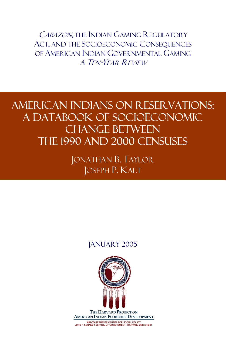CABAZON, THE INDIAN GAMING REGULATORY ACT, AND THE SOCIOECONOMIC CONSEQUENCES OF AMERICAN INDIAN GOVERNMENTAL GAMING A TEN-YEAR REVIEW

American Indians on Reservations: A Databook of Socioeconomic Change Between the 1990 and 2000 Censuses

> JONATHAN B. TAYLOR JOSEPH P. KALT

#### January 2005



MALCOLM WIENER CENTER FOR SOCIAL POLICY<br>JOHN F. KENNEDY SCHOOL OF GOVERNMENT - HARVARD UNIVERSITY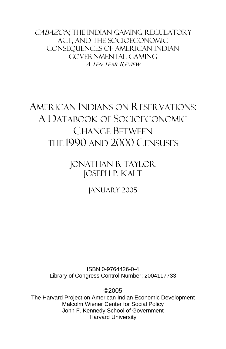CABAZON, THE INDIAN GAMING REGULATORY Act, and the Socioeconomic Consequences of American Indian Governmental Gaming A TEN-YEAR REVIEW

# AMERICAN INDIANS ON RESERVATIONS: A DATABOOK OF SOCIOECONOMIC CHANGE BETWEEN THE 1990 AND 2000 CENSUSES

Jonathan B. Taylor Joseph P. Kalt

January 2005

ISBN 0-9764426-0-4 Library of Congress Control Number: 2004117733

©2005

The Harvard Project on American Indian Economic Development Malcolm Wiener Center for Social Policy John F. Kennedy School of Government Harvard University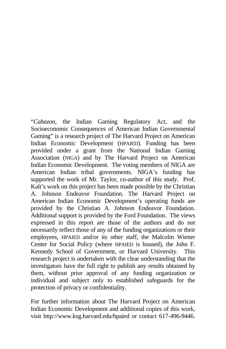"*Cabazon*, the Indian Gaming Regulatory Act, and the Socioeconomic Consequences of American Indian Governmental Gaming" is a research project of The Harvard Project on American Indian Economic Development (HPAIED). Funding has been provided under a grant from the National Indian Gaming Association (NIGA) and by The Harvard Project on American Indian Economic Development. The voting members of NIGA are American Indian tribal governments. NIGA's funding has supported the work of Mr. Taylor, co-author of this study. Prof. Kalt's work on this project has been made possible by the Christian A. Johnson Endeavor Foundation. The Harvard Project on American Indian Economic Development's operating funds are provided by the Christian A. Johnson Endeavor Foundation. Additional support is provided by the Ford Foundation. The views expressed in this report are those of the authors and do not necessarily reflect those of any of the funding organizations or their employees, HPAIED and/or its other staff, the Malcolm Wiener Center for Social Policy (where HPAIED is housed), the John F. Kennedy School of Government, or Harvard University. This research project is undertaken with the clear understanding that the investigators have the full right to publish any results obtained by them, without prior approval of any funding organization or individual and subject only to established safeguards for the protection of privacy or confidentiality.

For further information about The Harvard Project on American Indian Economic Development and additional copies of this work, visit http://www.ksg.harvard.edu/hpaied or contact 617-496-9446.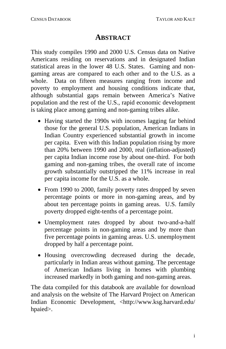#### **ABSTRACT**

This study compiles 1990 and 2000 U.S. Census data on Native Americans residing on reservations and in designated Indian statistical areas in the lower 48 U.S. States. Gaming and nongaming areas are compared to each other and to the U.S. as a whole. Data on fifteen measures ranging from income and poverty to employment and housing conditions indicate that, although substantial gaps remain between America's Native population and the rest of the U.S., rapid economic development is taking place among gaming and non-gaming tribes alike.

- Having started the 1990s with incomes lagging far behind those for the general U.S. population, American Indians in Indian Country experienced substantial growth in income per capita. Even with this Indian population rising by more than 20% between 1990 and 2000, real (inflation-adjusted) per capita Indian income rose by about one-third. For both gaming and non-gaming tribes, the overall rate of income growth substantially outstripped the 11% increase in real per capita income for the U.S. as a whole.
- From 1990 to 2000, family poverty rates dropped by seven percentage points or more in non-gaming areas, and by about ten percentage points in gaming areas. U.S. family poverty dropped eight-tenths of a percentage point.
- Unemployment rates dropped by about two-and-a-half percentage points in non-gaming areas and by more than five percentage points in gaming areas. U.S. unemployment dropped by half a percentage point.
- Housing overcrowding decreased during the decade, particularly in Indian areas without gaming. The percentage of American Indians living in homes with plumbing increased markedly in both gaming and non-gaming areas.

The data compiled for this databook are available for download and analysis on the website of The Harvard Project on American Indian Economic Development, <http://www.ksg.harvard.edu/ hpaied>.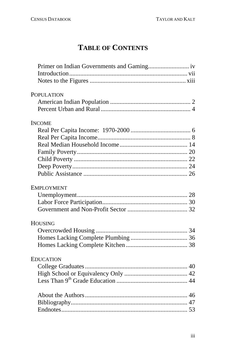# **TABLE OF CONTENTS**

| <b>POPULATION</b> |
|-------------------|
|                   |
|                   |
| <b>INCOME</b>     |
|                   |
|                   |
|                   |
|                   |
|                   |
|                   |
|                   |
|                   |
| <b>EMPLOYMENT</b> |
|                   |
|                   |
|                   |
| <b>HOUSING</b>    |
|                   |
|                   |
|                   |
| <b>EDUCATION</b>  |
|                   |
|                   |
|                   |
|                   |
|                   |
|                   |
|                   |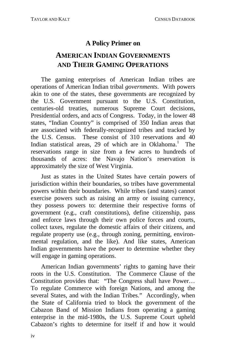#### **A Policy Primer on**

### **AMERICAN INDIAN GOVERNMENTS AND THEIR GAMING OPERATIONS**

The gaming enterprises of American Indian tribes are operations of American Indian tribal *governments*. With powers akin to one of the states, these governments are recognized by the U.S. Government pursuant to the U.S. Constitution, centuries-old treaties, numerous Supreme Court decisions, Presidential orders, and acts of Congress. Today, in the lower 48 states, "Indian Country" is comprised of 350 Indian areas that are associated with federally-recognized tribes and tracked by the U.S. Census. These consist of 310 reservations and 40 Indian statistical areas, 29 of which are in Oklahoma.<sup>1</sup> The reservations range in size from a few acres to hundreds of thousands of acres: the Navajo Nation's reservation is approximately the size of West Virginia.

Just as states in the United States have certain powers of jurisdiction within their boundaries, so tribes have governmental powers within their boundaries. While tribes (and states) cannot exercise powers such as raising an army or issuing currency, they possess powers to: determine their respective forms of government (e.g., craft constitutions), define citizenship, pass and enforce laws through their own police forces and courts, collect taxes, regulate the domestic affairs of their citizens, and regulate property use (e.g., through zoning, permitting, environmental regulation, and the like). And like states, American Indian governments have the power to determine whether they will engage in gaming operations.

American Indian governments' rights to gaming have their roots in the U.S. Constitution. The Commerce Clause of the Constitution provides that: "The Congress shall have Power… To regulate Commerce with foreign Nations, and among the several States, and with the Indian Tribes." Accordingly, when the State of California tried to block the government of the Cabazon Band of Mission Indians from operating a gaming enterprise in the mid-1980s, the U.S. Supreme Court upheld Cabazon's rights to determine for itself if and how it would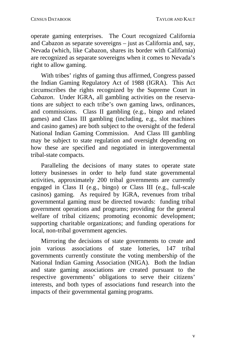operate gaming enterprises. The Court recognized California and Cabazon as separate sovereigns – just as California and, say, Nevada (which, like Cabazon, shares its border with California) are recognized as separate sovereigns when it comes to Nevada's right to allow gaming.

With tribes' rights of gaming thus affirmed, Congress passed the Indian Gaming Regulatory Act of 1988 (IGRA). This Act circumscribes the rights recognized by the Supreme Court in *Cabazon*. Under IGRA, all gambling activities on the reservations are subject to each tribe's own gaming laws, ordinances, and commissions. Class II gambling (e.g., bingo and related games) and Class III gambling (including, e.g., slot machines and casino games) are both subject to the oversight of the federal National Indian Gaming Commission. And Class III gambling may be subject to state regulation and oversight depending on how these are specified and negotiated in intergovernmental tribal-state compacts.

Paralleling the decisions of many states to operate state lottery businesses in order to help fund state governmental activities, approximately 200 tribal governments are currently engaged in Class II (e.g., bingo) or Class III (e.g., full-scale casinos) gaming. As required by IGRA, revenues from tribal governmental gaming must be directed towards: funding tribal government operations and programs; providing for the general welfare of tribal citizens; promoting economic development; supporting charitable organizations; and funding operations for local, non-tribal government agencies.

Mirroring the decisions of state governments to create and join various associations of state lotteries, 147 tribal governments currently constitute the voting membership of the National Indian Gaming Association (NIGA). Both the Indian and state gaming associations are created pursuant to the respective governments' obligations to serve their citizens' interests, and both types of associations fund research into the impacts of their governmental gaming programs.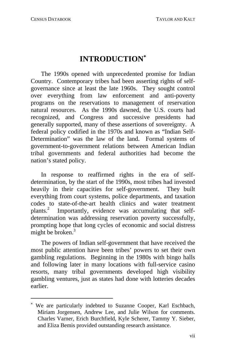i

## **INTRODUCTION**<sup>∗</sup>

<span id="page-10-0"></span>The 1990s opened with unprecedented promise for Indian Country. Contemporary tribes had been asserting rights of selfgovernance since at least the late 1960s. They sought control over everything from law enforcement and anti-poverty programs on the reservations to management of reservation natural resources. As the 19[90](#page-74-0)s dawned, the U.S. courts had recognized, and Congress and successive presidents had generally supported, many of these assertions of sovereignty. A federal policy codified in the 1970s and known as "Indian Self-Determination" was the law of the lan[d.](#page-74-1) Formal systems of government-to-government relations between American Indian tribal governments and federal authorities had become the nation's stated policy.

In response to reaffirmed rights in the era of selfdetermination, by the start of the 1990s, most tribes had invested heavily in their capacities for self-government. They built everything from court systems, police departments, and taxation codes to state-of-the-art health clinics and water treatment plants.<sup>2</sup> Importantly, evidence was accumulating that selfdetermination was addressing reservation poverty successfully, prompting hope that long cycles of economic and social distress might be broken. $3$ 

The powers of Indian self-government that have received the most public attention have been tribes' powers to set their own gambling regulations. Beginning in the 1980s with bingo halls and following later in many locations with full-service casino resorts, many tribal governments developed high visibility gambling ventures, just as states had done with lotteries decades earlier.

<sup>∗</sup> We are particularly indebted to Suzanne Cooper, Karl Eschbach, Miriam Jorgensen, Andrew Lee, and Julie Wilson for comments. Charles Varner, Erich Burchfield, Kyle Scherer, Tammy Y. Sieber, and Eliza Bemis provided outstanding research assistance.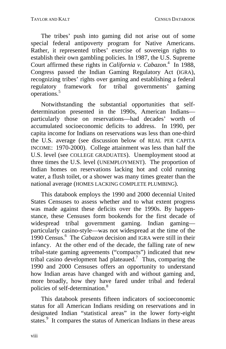The tribes' push into gaming did not arise out of some special federal antipoverty program for Native Americans. Rather, it represented tribes' exercise of sovereign rights to establish their own gambling policies. In 1987, the U.S. Supreme Court affirmed these rights in *California v. Cabazon*.<sup>4</sup> In 1988, Congress passed the Indian Gaming Regulatory Act (IGRA), recognizing tribes' rights over gaming and establishing a federal regulatory framework for tribal governments' gaming operations.5

Notwithstanding the substantial opportunities that selfdetermination presented in the 1990s, American Indians particularly those on reservations—had decades' worth of accumulated socioeconomic deficits to address. In 1990, per capita income for Indians on reservations was less than one-third the U.S. average (see discussion b[elo](#page-74-2)w of REAL PER CAPITA INCOME: 1970-2000). College attainment was less than half the U.S. level (see COLLEGE GRADUATES). Unemployment stood at three times the U.S. level (UNEMPLOYMENT). The proportion of Indian homes on reservations lacking hot and cold running water, a flush toilet, or a shower was many times greater than the national average (HOMES LACKING COMPLETE PLUMBI[NG](#page-74-3)).

This databook employs the 1990 and 2000 decennial United States Censuses to assess whether and to what extent progress was made against these deficits over the 1990s. By happenstance, these Censuses form bookends for the first decade of widespread tribal governm[en](#page-74-4)t gaming. Indian gaming particularly casino-style—was not widespread at the time of the 1990 Census.<sup>6</sup> The *Cabazon* decision and IGRA were still in their infancy. At the other end of the decade, the falling rate of new tribal-state gaming agreements ("compacts") indicated that new tribal casino development had plateaued.<sup>7</sup> Thus, comparing the 1990 and 2000 Censuses offers an opportunity to understand how Indian areas have changed with and without gaming and, more broadly, how they have fared under tribal and federal policies of self-determination.<sup>8</sup>

This databook presents fifteen indicators of socioeconomic status for all American Indians residing on reservations and in designated Indian "statistical areas" in the lower forty-eight states.<sup>9</sup> It compares the status of American Indians in these areas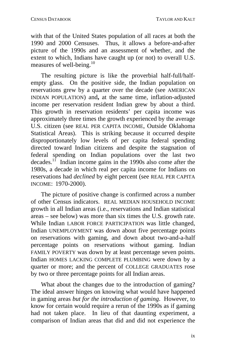with that of the United States population of all races at both the 1990 and 2000 Censuses. Thus, it allows a before-and-after picture of the 1990s and an assessment of whether, and the extent to which, Indians have c[aug](#page-74-5)ht up (or not) to overall U.S. measures of well-being.<sup>10</sup>

The resulting picture is like the proverbial half-full/halfempty glass. On the positive side, the Indian population on reservations grew by a quarter over the decade (see AMERICAN INDIAN POPULATION) and**,** at the same time, inflation-adjusted income per reservation resident Indian grew by about a third. This growth in reservation residents' per capita income was approximately three times the growth experienced by the average U.S. citizen (see REAL PER CAPITA INCOME, Outside Oklahoma Statistical Areas). This is striking because it occurred despite disproportionately low levels of per capita federal spending directed toward Indian citizens and despite the stagnation of federal spending on Indian populations over the last two decades.<sup>11</sup> Indian income gains in the 1990s also come after the 1980s, a decade in which real per capita income for Indians on reservations had *declined* by eight percent (see REAL PER CAPITA INCOME: 1970-2000).

The picture of positive change is confirmed across a number of other Census indicators. REAL MEDIAN HOUSEHOLD INCOME growth in all Indian areas (i.e., reservations and Indian statistical areas – see below) was more than six times the U.S. growth rate. While Indian LABOR FORCE PARTICIPATION was little changed, Indian UNEMPLOYMENT was down about five percentage points on reservations with gaming, and down about two-and-a-half percentage points on reservations without gaming. Indian FAMILY POVERTY was down by at least percentage seven points. Indian HOMES LACKING COMPLETE PLUMBING were down by a quarter or more; and the percent of COLLEGE GRADUATES rose by two or three percentage points for all Indian areas.

What about the changes due to the introduction of gaming? The ideal answer hinges on knowing what would have happened in gaming areas *but for the introduction of gaming*. However, to know for certain would require a rerun of the 1990s as if gaming had not taken place. In lieu of that daunting experiment, a comparison of Indian areas that did and did not experience the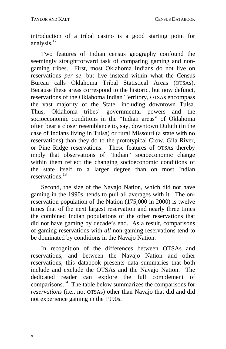introduction of a tribal casino is a good starting point for analysis. $12$ 

Two features of Indian census geography confound the seemingly straightforward task of comparing gaming and nongaming tribes. First, most Oklahoma Indians do not live on reservations *per se,* but live inste[ad](#page-74-6) within what the Census Bureau calls Oklahoma Tribal Statistical Areas (OTSAs). Because these areas correspond to the historic, but now defunct, reservations of the Oklahoma Indian Territory, OTSAs encompass the vast majority of the State—including downtown Tulsa. Thus, Oklahoma tribes' governmental powers and the socioeconomic conditions in the "Indian areas" of Oklahoma often bear a closer resemblance to, say, downtown Duluth (in the case of Indians living in Tulsa) or rural Missouri (a state with no reservations) than they do to the prototypical Crow, Gila River, or Pine Ridge reservations. These features of OTSAs thereby imply that observations of "Indian" socioeconomic change within them reflect the changing socioeconomic conditions of the state itself to a larger degree than on most Indian reservations.<sup>13</sup>

Second, the size of the Navajo [Nat](#page-74-7)ion, which did not have gaming in the 1990s, tends to pull all averages with it. The onreservation population of the Nation (175,000 in 2000) is twelve times that of the next largest reservation and nearly three times the combined Indian populations of the other reservations that did not have gaming by decade's end. As a result, comparisons of gaming reservations with *all* non-gaming reservations tend to be dominated by conditions in the Navajo Nation.

In recognition of the differences between OTSAs and reservations, and between the Navajo Nation and other reservations, this databook presents data summaries that both include and exclude the OTSAs and the Navajo Nation. The dedicated reader can explore the full complement of comparisons.14 The table below summarizes the comparisons for *reservations* (i.e., not OTSAs) other than Navajo that did and did not experience gaming in the 1990s.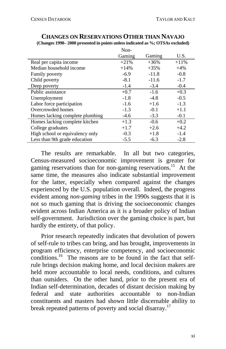|                                 | Non-   |         |        |
|---------------------------------|--------|---------|--------|
|                                 | Gaming | Gaming  | U.S.   |
| Real per capita income          | $+21%$ | $+36%$  | $+11%$ |
| Median household income         | $+14%$ | $+35%$  | $+4%$  |
| <b>Family poverty</b>           | $-6.9$ | $-11.8$ | $-0.8$ |
| Child poverty                   | $-8.1$ | $-11.6$ | $-1.7$ |
| Deep poverty                    | $-1.4$ | $-3.4$  | $-0.4$ |
| Public assistance               | $+0.7$ | $-1.6$  | $+0.3$ |
| Unemployment                    | $-1.8$ | $-4.8$  | $-0.5$ |
| Labor force participation       | $-1.6$ | $+1.6$  | $-1.3$ |
| Overcrowded homes               | $-1.3$ | $-0.1$  | $+1.1$ |
| Homes lacking complete plumbing | $-4.6$ | $-3.3$  | $-0.1$ |
| Homes lacking complete kitchen  | $+1.3$ | $-0.6$  | $+0.2$ |
| College graduates               | $+1.7$ | $+2.6$  | $+4.2$ |
| High school or equivalency only | $-0.3$ | $+1.8$  | $-1.4$ |
| Less than 9th grade education   | $-5.5$ | $-6.3$  | $-2.8$ |

#### **CHANGES ON RESERVATIONS OTHER THAN NAVAJO (Changes 1990– 2000 presented in points unless indicated as %; OTSAs excluded)**

The results are remarkable. In all but two categories, Census-measured socioeconomic [im](#page-74-8)provement is greater for gaming reservations than for non-gaming reservations.<sup>15</sup> At the same time, the measures also indicate substantial improvement for the latter, especially when compared against the changes experienced by the U.S. population overall. Indeed, the progress evident among *non-gaming* tribes in the 1990s suggests that it is not so much gaming that is driving the socioeconomic changes evident across Indian America as it is a broader policy of Indian self-government. Jurisdiction over the gaming choice is part, but hardly the entirety, of that policy.

Prior research repeatedly indicates that devolution of powers of self-rule to tribes can bring, and has brought, improvements in program efficiency, enterprise competency, and socioeconomic conditions.<sup>16</sup> The reasons are to be found in the fact that selfrule brings decision making home, and local decision makers are held more accountable to local needs, conditions, and cultures than outsiders. On the other hand, prior to the present era of Indian self-determination, decades of distant decision making by federal and state authorities accountable to non-Indian constituents and masters had shown little discernable ability to break repeated patterns of poverty and social disarray.<sup>17</sup>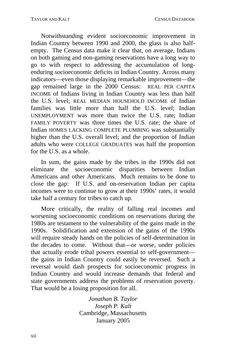Notwithstanding evident socioeconomic improvement in Indian Country between 1990 and 2000, the glass is also halfempty. The Census data make it clear that, on average, Indians on both gaming and non-gaming reservations have a long way to go to with respect to addressing the accumulation of longenduring socioeconomic deficits in Indian Country. Across many indicators—even those displaying remarkable improvement—the gap remained large in the 2000 Census: REAL PER CAPITA INCOME of Indians living in Indian Country was less than half the U.S. level; REAL MEDIAN HOUSEHOLD INCOME of Indian families was little more than half the U.S. level; Indian UNEMPLOYMENT was more than twice the U.S. rate; Indian FAMILY POVERTY was three times the U.S. rate; the share of Indian HOMES LACKING COMPLETE PLUMBING was substantially higher than the U.S. overall level; and the proportion of Indian adults who were COLLEGE GRADUATES was half the proportion for the U.S. as a whole.

In sum, the gains made by the tribes in the 1990s did not eliminate the socioeconomic disparities between Indian Americans and other Americans. Much remains to be done to close the gap: If U.S. and on-reservation Indian per capita incomes were to continue to grow at their 1990s' rates, it would take half a century for tribes to catch up.

More critically, the reality of falling real incomes and worsening socioeconomic conditions on reservations during the 1980s are testament to the vulnerability of the gains made in the 1990s. Solidification and extension of the gains of the 1990s will require steady hands on the policies of self-determination in the decades to come. Without that—or worse, under policies that actually erode tribal powers essential to self-government the gains in Indian Country could easily be reversed. Such a reversal would dash prospects for socioeconomic progress in Indian Country and would increase demands that federal and state governments address the problems of reservation poverty. That would be a losing proposition for all.

> *Jonathan B. Taylor Joseph P. Kalt*  Cambridge, Massachusetts January 2005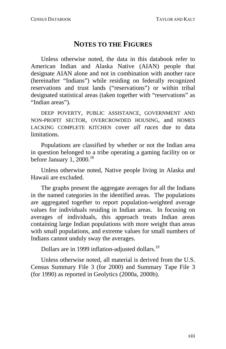#### **NOTES TO THE FIGURES**

<span id="page-16-0"></span>Unless otherwise noted, the data in this [dat](#page-74-9)abook refer to American Indian and Alaska Native (AIAN) people that designate AIAN alone and not in combination with another race (hereinafter "Indians") while residing on federally recognized reservations and trust lands ("reservations") or within tribal designated statistical areas (taken together with "reservations" as "Indian areas").

DEEP POVERTY, PUBLIC ASSISTANCE, GOVERNMENT AND NON-PROFIT SECTOR, OVERCROWDED HOUSING, and HOMES LACKING COMPLETE KITCHEN cover *all races* due to data limitations.

Populations are classified by whether or not the Indian area in question belonged to a tribe operating a gaming facility on or before January 1, 2000. $^{18}$ 

Unless otherwise noted, Native people living in Alaska and Hawaii are excluded.

The graphs present the aggregate averages for all the Indians in the named categories in the identified areas. The populations are aggregated together to report population-weighted average values for individuals residing in Indian areas. In focusing on averages of individuals, this approach treats Indian areas containing large Indian populations with more weight than areas with small populations, and extreme values for small numbers of Indians cannot unduly sway the averages.

Dollars are in 1999 inflation-adjusted dollars.<sup>19</sup>

Unless otherwise noted, all material is derived from the U.S. Census Summary File 3 (for 2000) and Summary Tape File 3 (for 1990) as reported in Geolytics (2000a, 2000b).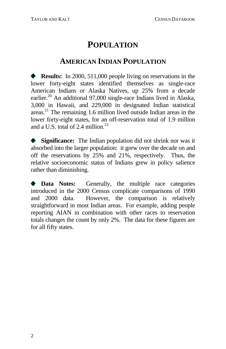### **POPULATION**

#### **AMERICAN INDIAN POPULATION**

<span id="page-17-0"></span>**Results:** In 2000, 511,000 people living on reservations in the lower forty-eight states identified themselves as single-race American Indians or Alaska Natives, up 25% from a decade earlier.<sup>20</sup> An additional 97,000 single-race Indians lived in Alaska, 3,000 in Hawaii, and 229,000 in designated Indian statistical areas. 21 The remaining 1.6 million lived outside Indian areas in the lower forty-eight states, for an off-reservation total of 1.9 million and a U.S. total of 2.4 million.<sup>22</sup>

**Significance:** The Indian population did not shrink nor was it absorbed into the larger population: it grew over the decade on and off the reservations by 25% and 21%, respectively. Thus, the relative socioeconomic status of Indians grew in policy salience rather than diminishing.

**Data Notes:** Generally, the multiple race categories introduced in the 2000 Census complicate comparisons of 1990 and 2000 data. However, the comparison is relatively straightforward in most Indian areas. For example, adding people reporting AIAN in combination with other races to reservation totals changes the count by only 2%. The data for these figures are for all fifty states.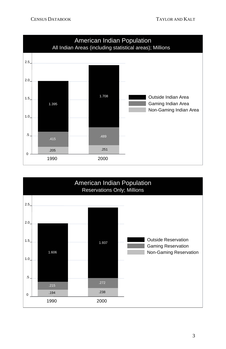

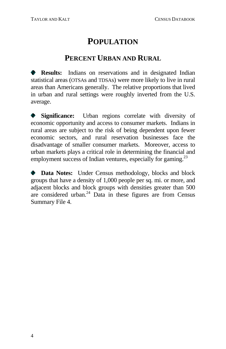## **POPULATION**

#### **PERCENT URBAN AND RURAL**

<span id="page-19-0"></span>**Results:** Indians on reservations and in designated Indian statistical areas (OTSAs and TDSAs) were more likely to live in rural areas than Americans generally. The relative proportions that lived in urban and rural settings were roughly inve[rte](#page-74-11)d from the U.S. average.

**Significance:** Urban regions correlate with diversity of  $\bullet$ economic opportunity and access to consumer markets. Indians in rural areas are subject to the risk of being dependent upon fewer economic sectors, and rural reservation businesses face the disadvantage of smaller consumer markets. Moreover, access to urban markets plays a critical role in determining the financial and employment success of Indian ventures, especially for gaming. $^{23}$ 

**Data Notes:** Under Census methodology, blocks and block groups that have a density of 1,000 people per sq. mi. or more, and adjacent blocks and block groups with densities greater than 500 are considered urban.<sup>24</sup> Data in these figures are from Census Summary File 4.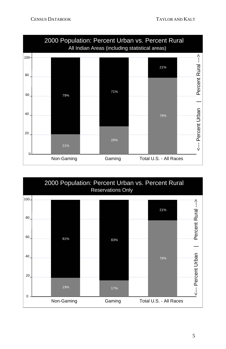

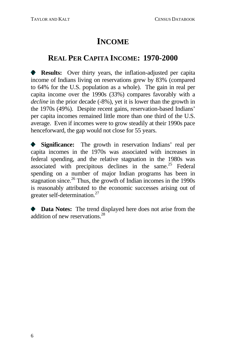#### <span id="page-21-0"></span>**REAL PER CAPITA INCOME: 1970-2000**

**Results:** Over thirty years, the inflation-adjusted per capita income of Indians living on reservations grew by 83% (compared to 64% for the U.S. population as a wh[ole\)](#page-74-12). The gain in real per capita income over the 1990s (33%) compares f[avo](#page-74-13)rably with a *decline* in the prior decade (-8%), yet it is lower than the growth in the 1970s (49%). Despite recent gains, reservation-based Indians' per capita incomes remained little more than one thir[d o](#page-74-14)f the U.S. average. Even if incomes were to grow steadily at their 1990s pace henceforward, the gap would not close for 55 years.

**Significance:** The growth in reservation Indians' real per capita incomes in the 1970s was associated with increases in federal spending, and the relative stagnation in the 1980s was associated with precipitous declines in the same. 25 Federal spending on a number of major Indian programs has been in stagnation since.<sup>26</sup> Thus, the growth of Indian incomes in the 1990s is reasonably attributed to the economic successes arising out of greater self-determination.<sup>27</sup>

**Data Notes:** The trend displayed here does not arise from the addition of new reservations. 28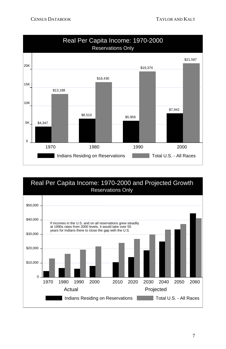

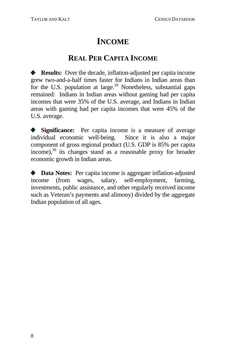### **REAL PER CA[PI](#page-74-15)TA INCOME**

<span id="page-23-0"></span>**Results:** Over the decade, inflation-adjusted per capita income grew two-and-a-half times faster for Indians in Indian areas than for the U.S. population at large.<sup>29</sup> Nonetheless, substantial gaps remained: Indians in Indian areas without gaming had per capita incomes that were 35% of the U.S. average, and Indians in Indian areas with gaming had per capita incomes that were 45% of the U.S. average.

**Significance:** Per capita income is a measure of average individual economic well-being. Since it is also a major component of gross regional product (U.S. GDP is 85% per capita  $income$ ), $30$  its changes stand as a reasonable proxy for broader economic growth in Indian areas.

**Data Notes:** Per capita income is aggregate inflation-adjusted income (from wages, salary, self-employment, farming, investments, public assistance, and other regularly received income such as Veteran's payments and alimony) divided by the aggregate Indian population of all ages.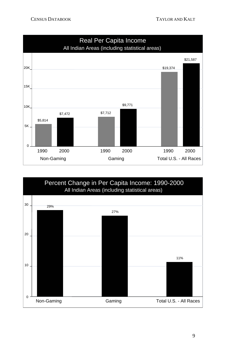

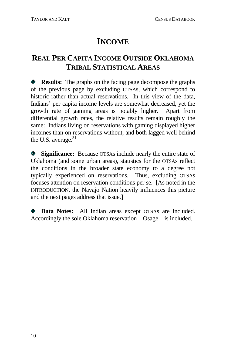### <span id="page-25-0"></span>**REAL PER CAPITA INCOME OUTSIDE OKLAHOMA TRIBAL STATISTICAL AREAS**

**Results:** The graphs on the facing page decompose the graphs of the previous page by excluding OTSAs, which correspond to historic rather than actual reservations. In this view of the data, Indians' per capita income levels are somewhat decreased, yet the growth rate of gaming areas is notably higher. Apart from differential growth rates, the relative results remain roughly the same: Indians living on reservations with gaming displayed higher incomes than on reservations without, and both lagged well behind the U.S. average.<sup>31</sup>

 $\bullet$ **Significance:** Because OTSAs include nearly the entire state of Oklahoma (and some urban areas), statistics for the OTSAs reflect the conditions in the broader state economy to a degree not typically experienced on reservations. Thus, excluding OTSAs focuses attention on reservation conditions per se. [As noted in the INTRODUCTION, the Navajo Nation heavily influences this picture and the next pages address that issue.]

**Data Notes:** All Indian areas except OTSAs are included. Accordingly the sole Oklahoma reservation—Osage—is included.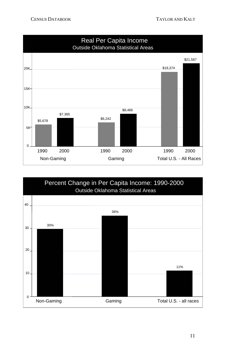

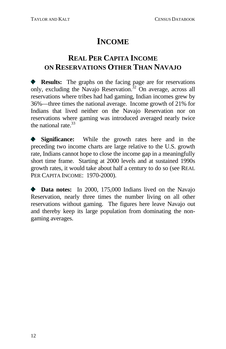### <span id="page-27-0"></span>**REAL PER CAPITA INCOME ON RESERVATIONS OTHER THAN NAVAJO**

**Results:** The graphs on the facing page are for reservations only, excluding the Navajo Reservation. 32 On average, across all reservations where tribes had had gaming, Indian incomes grew by 36%—three times the national average. Income growth of 21% for Indians that lived neither on the Navajo Reservation nor on reservations where gaming was introduced averaged nearly twice the national rate.<sup>33</sup>

**Significance:** While the growth rates here and in the preceding two income charts are large relative to the U.S. growth rate, Indians cannot hope to close the income gap in a meaningfully short time frame. Starting at 2000 levels and at sustained 1990s growth rates, it would take about half a century to do so (see REAL PER CAPITA INCOME: 1970-2000).

**Data notes:** In 2000, 175,000 Indians lived on the Navajo Reservation, nearly three times the number living on all other reservations without gaming. The figures here leave Navajo out and thereby keep its large population from dominating the nongaming averages.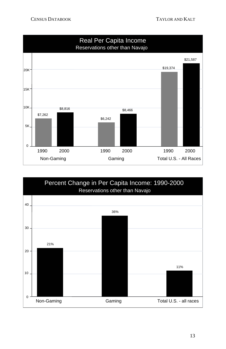

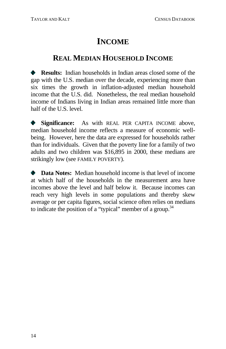#### <span id="page-29-0"></span>**REAL MEDIAN HOUSEHOLD INCOME**

**Results:** Indian households in Indian areas closed some of the gap with the U.S. median over the decade, experiencing more than six times the growth in inflation-adjusted median household income that the U.S. did. Nonetheless, the real median household income of Indians living in Indian areas remained little more than half of the U.S. level.

**Significance:** As with REAL PER CAPITA INCOME above,  $\bullet$ median household income reflects a measure of economic wellbeing. However, here the data are expressed for households rather than for individuals. Given that the poverty line for a family of two adults and two children was \$16,895 in 2000, these medians are strikingly low (see FAMILY POVERTY).

 $\bullet$  **Data Notes:** Median household income is that level of income at which half of the households in the measurement area have incomes above the level and half below it. Because incomes can reach very high levels in some populations and thereby skew average or per capita figures, social science often relies on medians to indicate the position of a "typical" member of a group.<sup>34</sup>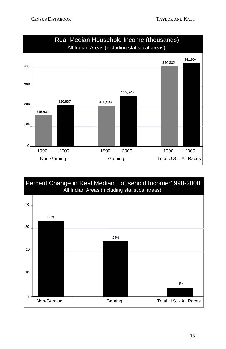

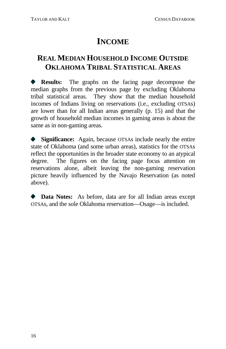### **REAL MEDIAN HOUSEHOLD INCOME OUTSIDE OKLAHOMA TRIBAL STATISTICAL AREAS**

**Results:** The graphs on the facing page decompose the median graphs from the previous page by excluding Oklahoma tribal statistical areas. They show that the median household incomes of Indians living on reservations (i.e., excluding OTSAs) are lower than for all Indian areas generally (p. 15) and that the growth of household median incomes in gaming areas is about the same as in non-gaming areas.

**Significance:** Again, because OTSAs include nearly the entire state of Oklahoma (and some urban areas), statistics for the OTSAs reflect the opportunities in the broader state economy to an atypical degree. The figures on the facing page focus attention on reservations alone, albeit leaving the non-gaming reservation picture heavily influenced by the Navajo Reservation (as noted above).

**Data Notes:** As before, data are for all Indian areas except OTSAs, and the sole Oklahoma reservation—Osage—is included.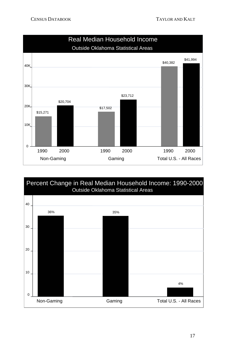

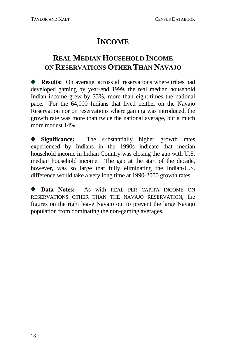### **REAL MEDIAN HOUSEHOLD INCOME ON RESERVATIONS OTHER THAN NAVAJO**

**Results:** On average, across all reservations where tribes had developed gaming by year-end 1999, the real median household Indian income grew by 35%, more than eight-times the national pace. For the 64,000 Indians that lived neither on the Navajo Reservation nor on reservations where gaming was introduced, the growth rate was more than twice the national average, but a much more modest 14%.

**Significance:** The substantially higher growth rates experienced by Indians in the 1990s indicate that median household income in Indian Country was closing the gap with U.S. median household income. The gap at the start of the decade, however, was so large that fully eliminating the Indian-U.S. difference would take a very long time at 1990-2000 growth rates.

 $\bullet$  **Data Notes:** As with REAL PER CAPITA INCOME ON RESERVATIONS OTHER THAN THE NAVAJO RESERVATION, the figures on the right leave Navajo out to prevent the large Navajo population from dominating the non-gaming averages.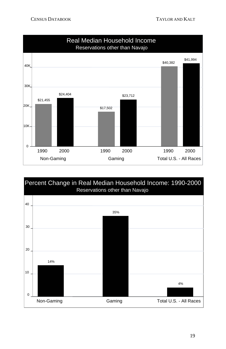

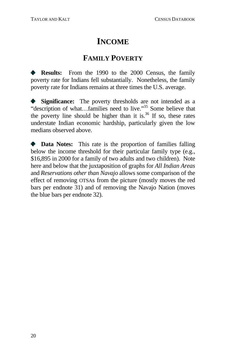### **FAMILY POVERTY**

<span id="page-35-0"></span>**Results:** From the 1990 to the 2000 Census, the family poverty rate for Indians fell substantially. Nonetheless, the family poverty rate for Indians remains at three ti[mes](#page-25-0) the U.S. average.

**Significance:** The poverty thresholds are n[ot i](#page-27-0)ntended as a "description of what...families need to live."<sup>35</sup> Some believe that the poverty line should be higher than it is.<sup>36</sup> If so, these rates understate Indian economic hardship, particularly given the low medians observed above.

 $\bullet$  **Data Notes:** This rate is the proportion of families falling below the income threshold for their particular family type (e.g., \$16,895 in 2000 for a family of two adults and two children). Note here and below that the juxtaposition of graphs for *All Indian Areas* and *Reservations other than Navajo* allows some comparison of the effect of removing OTSAs from the picture (mostly moves the red bars per endnote 31) and of removing the Navajo Nation (moves the blue bars per endnote 32).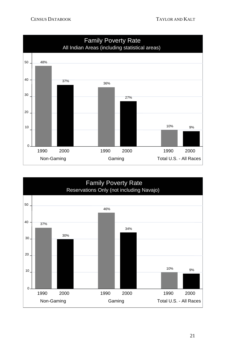

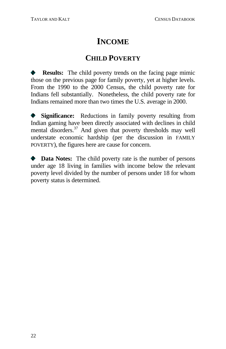# **INCOME**

### **CHILD POVERTY**

**Results:** The child poverty trends on the facing page mimic those on the previous page for family poverty, yet at higher levels. From the 1990 to the 2000 Census, the child poverty rate for Indians fell substantially. Nonetheless, the child poverty rate for Indians remained more than two times the U.S. average in 2000.

**Significance:** Reductions in family poverty resulting from  $\bullet$ Indian gaming have been directly associated with declines in child mental disorders. 37 And given that poverty thresholds may well understate economic hardship (per the discussion in FAMILY POVERTY), the figures here are cause for concern.

**Data Notes:** The child poverty rate is the number of persons under age 18 living in families with income below the relevant poverty level divided by the number of persons under 18 for whom poverty status is determined.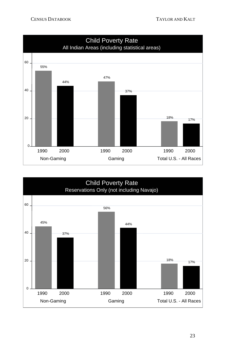

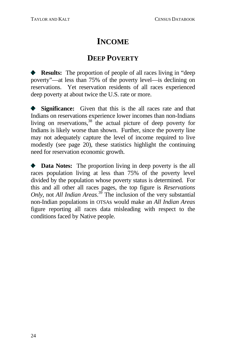# **INCOME**

### **DEEP POVERTY**

**Results:** The proportion of people of all races living in "deep poverty"—at less than 75% of the poverty level—is declining on reservations. Yet reservation residents of all races experienced deep poverty at about twice the U.S. rate or more.

**Significance:** Given that this is the all races rate and that  $\bullet$  . Indians on reservations experience lower incomes than non-Indians living on reservations,<sup>38</sup> the actual picture of deep poverty for Indians is likely worse than shown. Further, since the poverty line may not adequately capture the level of income required to live modestly (see page 20), these statistics highlight the continuing need for reservation economic growth.

 $\bullet$  **Data Notes:** The proportion living in deep poverty is the all races population living at less than 75% of the poverty level divided by the population whose poverty status is determined. For this and all other all races pages, the top figure is *Reservations Only,* not *All Indian Areas*. 39 The inclusion of the very substantial non-Indian populations in OTSAs would make an *All Indian Areas* figure reporting all races data misleading with respect to the conditions faced by Native people.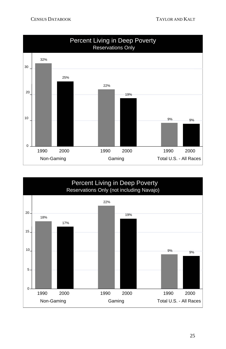

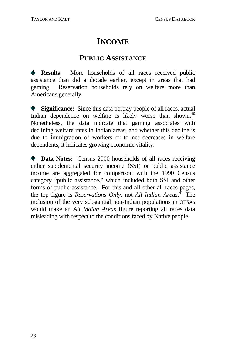# **INCOME**

### **PUBLIC ASSISTANCE**

**Results:** More households of all races received public assistance than did a decade earlier, except in areas that had gaming. Reservation households rely on welfare more than Americans generally.

**Significance:** Since this data portray people of all races, actual Indian dependence on welfare is likely worse than shown.<sup>40</sup> Nonetheless, the data indicate that gaming associates with declining welfare rates in Indian areas, and whether this decline is due to immigration of workers or to net decreases in welfare dependents, it indicates growing economic vitality.

**Data Notes:** Census 2000 households of all races receiving either supplemental security income (SSI) or public assistance income are aggregated for comparison with the 1990 Census category "public assistance," which included both SSI and other forms of public assistance. For this and all other all races pages, the top figure is *Reservations Only,* not *All Indian Areas*. 41 The inclusion of the very substantial non-Indian populations in OTSAs would make an *All Indian Areas* figure reporting all races data misleading with respect to the conditions faced by Native people.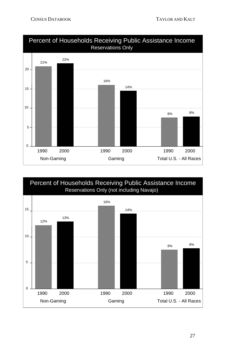

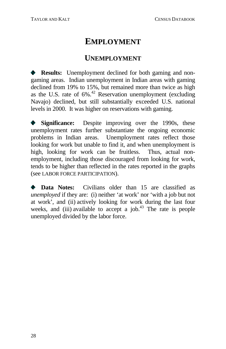### **EMPLOYMENT**

### **UNEMPLOYMENT**

**Results:** Unemployment declined for both gaming and nongaming areas. Indian unemployment in Indian areas with gaming declined from 19% to 15%, but remained more than twice as high as the U.S. rate of 6%. 42 Reservation unemployment (excluding Navajo) declined, but still substantially exceeded U.S. national levels in 2000. It was higher on reservations with gaming.

**Significance:** Despite improving over the 1990s, these unemployment rates further substantiate the ongoing economic problems in Indian areas. Unemployment rates reflect those looking for work but unable to find it, and when unemployment is high, looking for work can be fruitless. Thus, actual nonemployment, including those discouraged from looking for work, tends to be higher than reflected in the rates reported in the graphs (see LABOR FORCE PARTICIPATION).

**Data Notes:** Civilians older than 15 are classified as *unemployed* if they are: (i) neither 'at work' nor 'with a job but not at work', and (ii) actively looking for work during the last four weeks, and (iii) available to accept a job.<sup>43</sup> The rate is people unemployed divided by the labor force.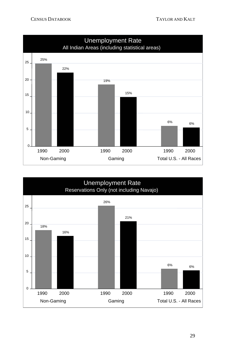

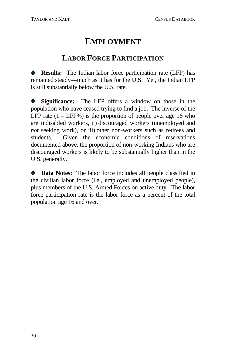### **EMPLOYMENT**

### **LABOR FORCE PARTICIPATION**

**Results:** The Indian labor force participation rate (LFP) has remained steady—much as it has for the U.S. Yet, the Indian LFP is still substantially below the U.S. rate.

**Significance:** The LFP offers a window on those in the population who have ceased trying to find a job. The inverse of the LFP rate  $(1 - LFP\%)$  is the proportion of people over age 16 who are i) disabled workers, ii) discouraged workers (unemployed and *not* seeking work), or iii) other non-workers such as retirees and students. Given the economic conditions of reservations documented above, the proportion of non-working Indians who are discouraged workers is likely to be substantially higher than in the U.S. generally.

**Data Notes:** The labor force includes all people classified in the civilian labor force (i.e., employed and unemployed people), plus members of the U.S. Armed Forces on active duty. The labor force participation rate is the labor force as a percent of the total population age 16 and over.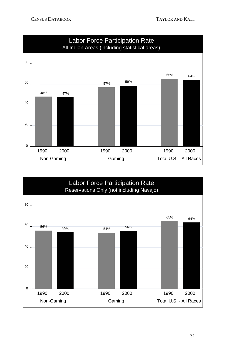

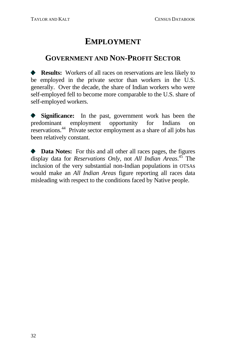# **EMPLOYMENT**

### **GOVERNMENT AND NON-PROFIT SECTOR**

**Results:** Workers of all races on reservations are less likely to be employed in the private sector than workers in the U.S. generally. Over the decade, the share of Indian workers who were self-employed fell to become more comparable to the U.S. share of self-employed workers.

**Significance:** In the past, government work has been the  $\bullet$ predominant employment opportunity for Indians on reservations.<sup>44</sup> Private sector employment as a share of all jobs has been relatively constant.

**Data Notes:** For this and all other all races pages, the figures display data for *Reservations Only,* not *All Indian Areas*. 45 The inclusion of the very substantial non-Indian populations in OTSAs would make an *All Indian Areas* figure reporting all races data misleading with respect to the conditions faced by Native people.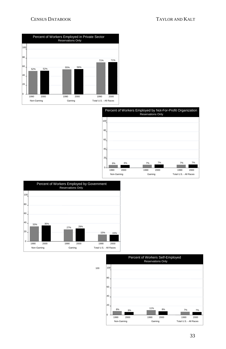#### CENSUS DATABOOK TAYLOR AND KALT







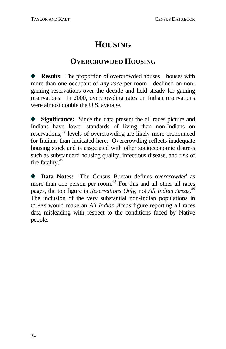# **H OUSING**

### **OVERCR OWDE[D H](#page-74-0)OUSING**

**Results:** The proportion of overcrowded houses—houses with more than [on](#page-74-1)e occupant of *any race* per room—declined on nongaming reservations over the decade and held steady for gaming reservations. In 2000, overcrowding rates on Indian reservations were almost double the U.S. average.

**Significance:** Since the data present the all races picture and Indians have lower standards of living than non-Indians on reservations, 46 levels of overcrowding are likely more pronounced for Indians than indicated here. Overcrowding reflects inadequate housing stock and is associated with other socioeconomic distress such as substandard housing quality, infectious disease, and risk of fire fatality.<sup>47</sup>

**Data Notes:** The Census Bureau defines *overcrowded* as more than one person per room.<sup>48</sup> For this and all other all races pages, the top figure is *Reservations Only,* not *All Indian Areas*. 49 The inclusion of the very substantial non-Indian populations in OTSAs would make an *All Indian Areas* figure reporting all races data misleading with respect to the conditions faced by Native people.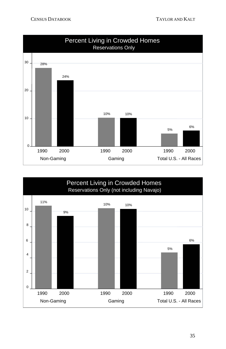

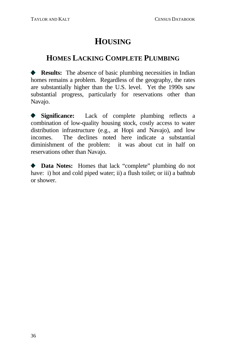# **HOUSING**

### **HOMES LACKING COMPLETE PLUMBING**

**Results:** The absence of basic plumbing necessities in Indian homes remains a problem. Regardless of the geography, the rates are substantially higher than the U.S. level. Yet the 1990s saw substantial progress, particularly for reservations other than Navajo.

Significance: Lack of complete plumbing reflects a combination of low-quality housing stock, costly access to water distribution infrastructure (e.g., at Hopi and Navajo), and low incomes. The declines noted here indicate a substantial diminishment of the problem: it was about cut in half on reservations other than Navajo.

Data Notes: Homes that lack "complete" plumbing do not have: i) hot and cold piped water; ii) a flush toilet; or iii) a bathtub or shower.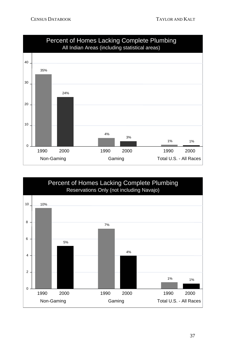

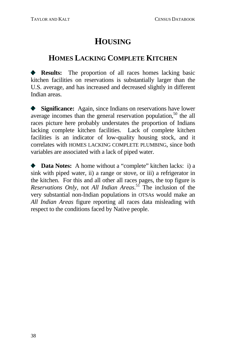# **HOUSING**

### **HOMES LACKING COMPLETE KITCHEN**

**Results:** The proportion of all races homes lacking basic kitchen facilities on reservations is substantially larger than the U.S. average, and has increased and decreased slightly in different Indian areas.

**Significance:** Again, since Indians on reservations have lower average incomes than the general reservation population,<sup>50</sup> the all races picture here probably understates the proportion of Indians lacking complete kitchen facilities. Lack of complete kitchen facilities is an indicator of low-quality housing stock, and it correlates with HOMES LACKING COMPLETE PLUMBING, since both variables are associated with a lack of piped water.

**Data Notes:** A home without a "complete" kitchen lacks: i) a sink with piped water, ii) a range or stove, or iii) a refrigerator in the kitchen. For this and all other all races pages, the top figure is *Reservations Only, not All Indian Areas.*<sup>51</sup> The inclusion of the very substantial non-Indian populations in OTSAs would make an All *Indian Areas* figure reporting all races data misleading with respect to the conditions faced by Native people.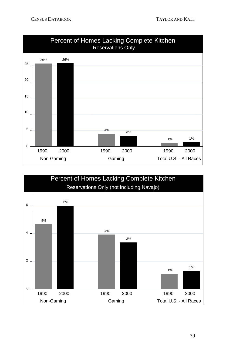

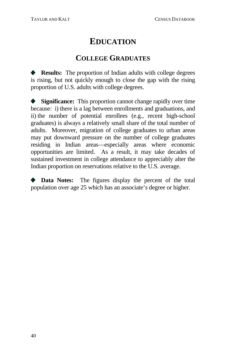### **EDUCATION**

#### **COLLEGE GRADUATES**

**Results:** The proportion of Indian adults with college degrees is rising, but not quickly enough to close the gap with the rising proportion of U.S. adults with college degrees.

**Significance:** This proportion cannot change rapidly over time because: i) there is a lag between enrollments and graduations, and ii) the number of potential enrollees (e.g., recent high-school graduates) is always a relatively small share of the total number of adults. Moreover, migration of college graduates to urban areas may put downward pressure on the number of college graduates residing in Indian areas—especially areas where economic opportunities are limited. As a result, it may take decades of sustained investment in college attendance to appreciably alter the Indian proportion on reservations relative to the U.S. average.

**Data Notes:** The figures display the percent of the total population over age 25 which has an associate's degree or higher.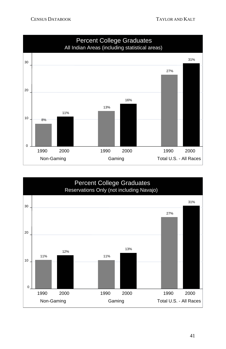

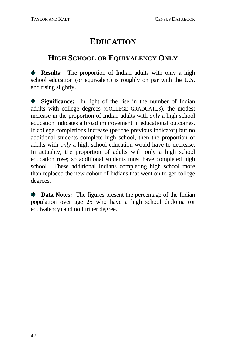# **EDUCATION**

### **HIGH SCHOOL OR EQUIVALENCY ONLY**

**Results:** The proportion of Indian adults with only a high school education (or equivalent) is roughly on par with the U.S. and rising slightly.

Significance: In light of the rise in the number of Indian adults with college degrees (COLLEGE GRADUATES), the modest increase in the proportion of Indian adults with *only* a high school education indicates a broad improvement in educational outcomes. If college completions increase (per the previous indicator) but no additional students complete high school, then the proportion of adults with *only* a high school education would have to decrease. In actuality, the proportion of adults with only a high school education rose; so additional students must have completed high school. These additional Indians completing high school more than replaced the new cohort of Indians that went on to get college degrees.

**Data Notes:** The figures present the percentage of the Indian population over age 25 who have a high school diploma (or equivalency) and no further degree.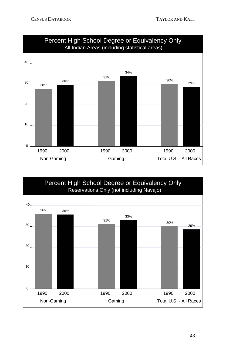

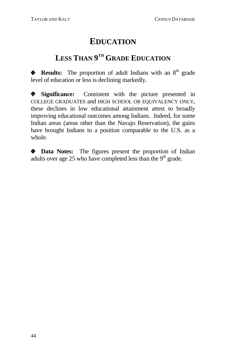# **EDUCATION**

### **LESS THAN 9TH GRADE EDUCATION**

**Results:** The proportion of adult Indians with an 8<sup>th</sup> grade level of education or less is declining markedly.

**Significance:** Consistent with the picture presented in COLLEGE GRADUATES and HIGH SCHOOL OR EQUIVALENCY ONLY, these declines in low educational attainment attest to broadly improving educational outcomes among Indians. Indeed, for some Indian areas (areas other than the Navajo Reservation), the gains have brought Indians to a position comparable to the U.S. as a whole.

**Data Notes:** The figures present the proportion of Indian adults over age 25 who have completed less than the  $9<sup>th</sup>$  grade.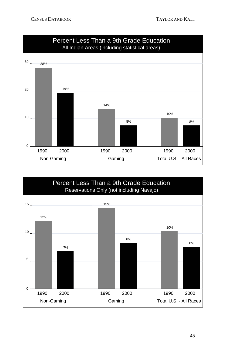

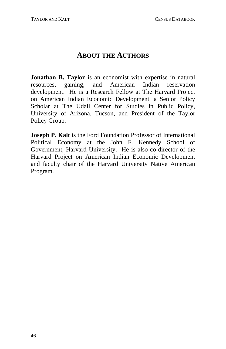#### **ABOUT THE AUTHORS**

gaming, and American Indian reservation development. He is a Research Fellow at The Harvard Project on American Indian Economic Development, a Senior Policy Scholar at The Udall Center for Studies in Public Policy, University of Arizona, Tucson, and President of the Taylor Policy Group. **Jonathan B. Taylor** is an economist with expertise in natural resources,

**Joseph P. Kalt** is the Ford Foundation Professor of International Political Economy at the John F. Kennedy School of Government, Harvard University. He is also co-director of the Harvard Project on American Indian Economic Development and faculty chair of the Harvard University Native American Program.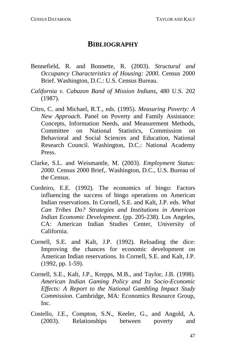#### **BIBLIOGRAPHY**

- Bennefield, R. and Bonnette, R. (2003). Structural and *Occupancy Characteristics of Housing: 2000*. Census 2000 Brief. Washington, D.C.: U.S. Census Bureau.
- *California v. Cabazon Band of Mission Indians*, 480 U.S. 202 (1987).
- Concepts, Information Needs, and Measurement Methods, Citro, C. and Michael, R.T., eds. (1995). *Measuring Poverty: A New Approach*. Panel on Poverty and Family Assistance: Committee on National Statistics, Commission on Behavioral and Social Sciences and Education, National Research Council. Washington, D.C.: National Academy Press.
- 2000. Census 2000 Brief,. Washington, D.C., U.S. Bureau of the Census. Clarke, S.L. and Weismantle, M. (2003). *Employment Status:*
- Cordeiro, E.E. (1992). The economics of bingo: Factors influencing the success of bingo operations on American Indian reservations. In Cornell, S.E. and Kalt, J.P. eds. *What Can Tribes Do? Strategies and Institutions in American Indian Economic Development*. (pp. 205-238). Los Angeles, CA: American Indian Studies Center, University of California.
- Cornell, S.E. and Kalt, J.P. (1992). Reloading the dice: Improving the chances for economic development on American Indian reservations. In Cornell, S.E. and Kalt, J.P. (1992, pp. 1-59).
- Cornell, S.E., Kalt, J.P., Krepps, M.B., and Taylor, J.B. (1998). *American Indian Gaming Policy and Its Socio-Economic Effects: A Report to the National Gambling Impact Study Commission*. Cambridge, MA: Economics Resource Group, Inc.
- Costello, J.E., Compton, S.N., Keeler, G., and Angold, A. (2003). Relationships between poverty and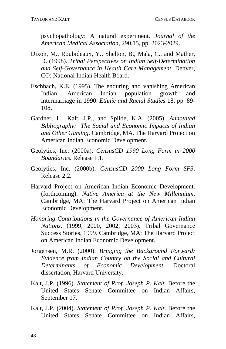psychopathology: A natural experiment. *Journal of the American Medical Association, 290,15, pp. 2023-2029.* 

- Dixon, M., Roubideaux, Y., Shelton, B., Mala, C., and Mather, D. (1998). *Tribal Perspectives on Indian Self-Determination and Self-Governance in Health Care Management*. Denver, CO: National Indian Health Board.
- intermarriage in 1990. Ethnic and Racial Studies 18, pp. 89-Eschbach, K.E. (1995). The enduring and vanishing American Indian: American Indian population growth and 108.
- Gar dner, L., Kalt, J.P., and Spilde, K.A. (2005). *Annotated Bibliography: The Social and Economic Impacts of Indian and Other Gaming*. Cambridge, MA. The Harvard Project on American Indian Economic Development.
- Geolytics, Inc. (2000a). CensusCD 1990 Long Form in 2000 *Boundaries*. Release 1.1.
- Geo lytics, Inc. (2000b). *CensusCD 2000 Long Form SF3*. Release 2.2.
- Harvard Project on American Indian Economic Development. (forthcoming). *Native America at the New Millennium*. Cambridge, MA: The Harvard Project on American Indian Economic Development.
- *Hon oring Contributions in the Governance of American Indian* Success Stories, 1999. Cambridge, MA: The Harvard Project *Nations*. (1999, 2000, 2002, 2003). Tribal Governance on American Indian Economic Development.
- Jorg ensen, M.R. (2000). *Bringing the Background Forward: Economic Development*. Doctoral *Determinants of Evidence from Indian Country on the Social and Cultural*  dissertation, Harvard University.
- Kal t, J.P. (1996). *Statement of Prof. Joseph P. Kalt*. Before the United States Senate Committee on Indian Affairs, September 17.
- Kalt, J.P. (2004). *Statement of Prof. Joseph P. Kalt*. Before the United States Senate Committee on Indian Affairs,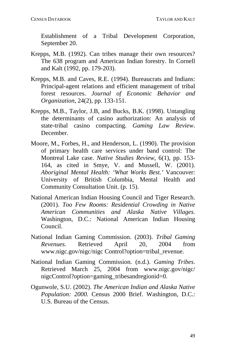Establishment of a Tribal Development Corporation, September 20.

- Krepps, M.B. (1992). Can tribes manage their own resources? The 638 program and American Indian forestry. In Cornell and Kalt (1992, pp. 179-203).
- Kre pps, M.B. and Caves, R.E. (1994). Bureaucrats and Indians: Principal-agent relations and efficient management of tribal forest resources. *Journal of Economic Behavior and Organization*, 24(2), pp. 133-151.
- Krepps, M.B., Taylor, J.B, and Bucks, B.K. (1998). Untangling the determinants of casino authorization: An analysis of state-tribal casino compacting. *Gaming Law Review*. December.
- Moore, M., Forbes, H., and Henderson, L. (1990). The provision Montreal Lake case. *Native Studies Review*, 6(1), pp. 153-University of British Columbia, Mental Health and of primary health care services under band control: The 164, as cited in Smye, V. and Mussell, W. (2001). *Aboriginal Mental Health: 'What Works Best.'* Vancouver: Community Consultation Unit. (p. 15).
- Nat ional American Indian Housing Council and Tiger Research. *and Alaska Native Villages*. *American Communities* (2001). *Too Few Rooms: Residential Crowding in Native*  Washington, D.C.: National American Indian Housing Council.
- Nat ional Indian Gaming Commission. (2003). *Tribal Gaming* 2004 from *Revenues.* Retrieved April 20, www.nigc.gov/nigc/nigc Control?option=tribal\_revenue.
- Nat ional Indian Gaming Commission. (n.d.). *Gaming Tribes*. nigcControl?option=gaming\_tribesandregionid=0. Retrieved March 25, 2004 from www.nigc.gov/nigc/
- U.S. Bureau of the Census. Ogunwole, S.U. (2002). *The American Indian and Alaska Native Population: 2000.* Census 2000 Brief. Washington, D.C.: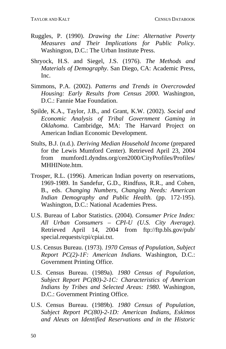- Rug gles, P. (1990). *Drawing the Line: Alternative Poverty Their Implications for Public Policy*. *Measures and* Washington, D.C.: The Urban Institute Press.
- Shr yock, H.S. and Siegel, J.S. (1976). *The Methods and* Materials of Demography. San Diego, CA: Academic Press, Inc.
- Sim mons, P.A. (2002). *Patterns and Trends in Overcrowded Housing: Early Results from Census 2000*. Washington, D.C.: Fannie Mae Foundation.
- American Indian Economic Development. Spilde, K.A., Taylor, J.B., and Grant, K.W. (2002). *Social and Economic Analysis of Tribal Government Gaming in Oklahoma*. Cambridge, MA: The Harvard Project on
- Stults, B.J. (n.d.). *Deriving Median Household Income* (prepared for the Lewis Mumford Center). Retrieved April 23, 2004 from mumford1.dyndns.org/cen2000/CityProfiles/Profiles/ MHHINote.htm.
- Tro sper, R.L. (1996). American Indian poverty on reservations, B., eds. *Changing Numbers, Changing Needs: American* 1969-1989. In Sandefur, G.D., Rindfuss, R.R., and Cohen, *Indian Demography and Public Health.* (pp. 172-195). Washington, D.C.: National Academies Press.
- U.S . Bureau of Labor Statistics. (2004). *Consumer Price Index:*  Retrieved April 14, 2004 from ftp://ftp.bls.gov/pub/ *All Urban Consumers – CPI-U (U.S. City Average)*. special.requests/cpi/cpiai.txt.
- U.S . Census Bureau. (1973). *1970 Census of Population, Subject*  Report PC(2)-1F: American Indians. Washington, D.C.: Government Printing Office.
- U.S . Census Bureau. (1989a). *1980 Census of Population, American Subject Report PC(80)-2-1C: Characteristics of Indians by Tribes and Selected Areas: 1980*. Washington, D.C.: Government Printing Office.
- U.S. Census Bureau. (1989b). 1980 Census of Population, *Subject Report PC(80)-2-1D: American Indians, Eskimos and Aleuts on Identified Reservations and in the Historic*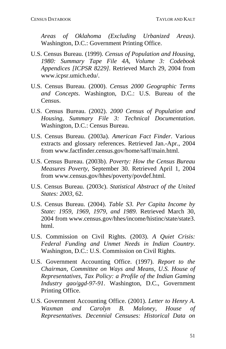*Areas of Oklahoma (Excluding Urbanized Areas)*. Washington, D.C.: Government Printing Office.

- U.S. Census Bureau. (1999). *Census of Population and Housing,* www.icpsr.umich.edu/. *1980: Summary Tape File 4A, Volume 3: Codebook Appendices [ICPSR 8229]*. Retrieved March 29, 2004 from
- U.S. Census Bureau. (2000). *Census 2000 Geographic Terms and Concepts*. Washington, D.C.: U.S. Bureau of the Census.
- U.S. Census Bureau. (2002). *2000 Census of Population and Housing, Summary File 3: Technical Documentation*. Washington, D.C.: Census Bureau.
- U.S. Census Bureau. (2003a). American Fact Finder. Various extracts and glossary references. Retrieved Jan.-Apr., 2004 from www.factfinder.census.gov/home/saff/main.html.
- U.S . Census Bureau. (2003b). *Poverty: How the Census Bureau*  Measures Poverty, September 30. Retrieved April 1, 2004 from www.census.gov/hhes/poverty/povdef.html.
- U.S . Census Bureau. (2003c). *Statistical Abstract of the United States: 2003*, 62.
- U.S. Census Bureau. (2004). *Table S3. Per Capita Income by State: 1959, 1969, 1979, and 1989*. Retrieved March 30, 2004 from www.census.gov/hhes/income/histinc/state/state3. html.
- U.S. Commission on Civil Rights. (2003). *A Quiet Crisis: Federal Funding and Unmet Needs in Indian Country*. Washington, D.C.: U.S. Commission on Civil Rights.
- U.S. Government Accounting Office. (1997). *Report to the Chairman*, *Committee on Ways and Means, U.S. House of Representatives, Tax Policy: a Profile of the Indian Gaming Industry gao/ggd-97-91*. Washington, D.C., Government Printing Office.
- U.S. Government Accounting Office. (2001). *Letter to Henry A. Waxman and Carolyn B. Maloney, House of Representatives. Decennial Censuses: Historical Data on*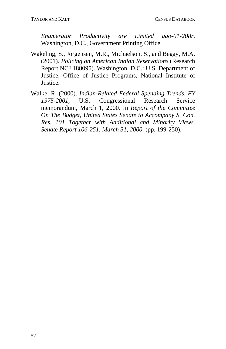*Enumerator Productivity are Limited gao-01-208r*. Washington, D.C., Government Printing Office.

- Justice, Office of Justice Programs, National Institute of Wakeling, S., Jorgensen, M.R., Michaelson, S., and Begay, M.A. (2001). *Policing on American Indian Reservations* (Research Report NCJ 188095). Washington, D.C.: U.S. Department of Justice.
- Wa lke, R. (2000). *Indian-Related Federal Spending Trends, FY*  U.S. Congressional Research Service *Senate Report 106-251. March 31, 2000.* (pp. 199-250). *1975-200* memorandum, March 1, 2000. In *Report of the Committee On The Budget, United States Senate to Accompany S. Con. Res. 101 Together with Additional and Minority Views.*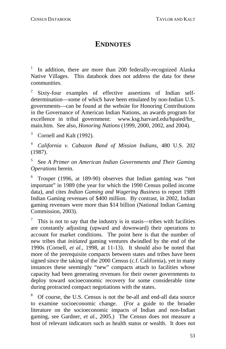### **ENDNOTES**

 $1$  In addition, there are more than 200 federally-recognized Alaska Nati ve Villages. This databook does not address the data for these com munities.

dete rmination—some of which have been emulated by non-Indian U.S. gove rnments—can be found at the website for Honoring Contributions in th e Governance of American Indian Nations, an awards program for exce llence in tribal government: www.ksg.harvard.edu/hpaied/hn\_ main .htm. See also, *Honoring Nations* (1999, 2000, 2002, and 2004). Sixty-four examples of effective assertions of Indian self-

 $3$  Cornell and Kalt (1992).

<sup>4</sup> *California v. Cabazon Band of Mission Indians*, 480 U.S. 202 (1987).

5 See *A Primer on American Indian Governments and Their Gaming Operations* herein.

Trosper (1996, at 189-90) observes that Indian gaming was "not important" in 1989 (the year for which the 1990 Census polled income data), and cites *Indian Gaming and Wagering Business* to report 1989 Indian Gaming revenues of \$400 million. By contrast, in 2002, Indian gaming revenues were more than \$14 billion (National Indian Gaming Commission, 2003).

This is not to say that the industry is in stasis—tribes with facilities are constantly adjusting (upward and downward) their operations to account for market conditions. The point here is that the number of new tribes that *initiated* gaming ventures dwindled by the end of the 1990s (Cornell, *et al.*, 1998, at 11-13). It should also be noted that more of the prerequisite compacts between states and tribes have been signed since the taking of the 2000 Census (c.f. California), yet in many instances these seemingly "new" compacts attach to facilities whose capacity had been generating revenues for their owner governments to deploy toward socioeconomic recovery for some considerable time during protracted compact negotiations with the states.

<sup>8</sup> Of course, the U.S. Census is not the be-all and end-all data source to examine socioeconomic change. (For a guide to the broader literature on the socioeconomic impacts of Indian and non-Indian gaming, see Gardner, *et al.*, 2005.) The Census does not measure a host of relevant indicators such as health status or wealth. It does not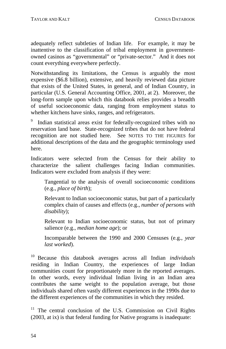adequately reflect subtleties of Indian life. For example, it may be inattentive to the classification of tribal employment in governmentowned casinos as "governmental" or "private-sector." And it does not count everything everywhere perfectly.

that exists of the United States, in general, and of Indian Country, in Notwithstanding its limitations, the Census is arguably the most expensive (\$6.8 billion), extensive, and heavily reviewed data picture particular (U.S. General Accounting Office, 2001, at 2). Moreover, the long-form sample upon which this databook relies provides a breadth of useful socioeconomic data, ranging from employment status to whether kitchens have sinks, ranges, and refrigerators.

reservation land base. State-recognized tribes that do not have federal recognition are not studied here. See NOTES TO THE FIGURES for Indian statistical areas exist for federally-recognized tribes with no additional descriptions of the data and the geographic terminology used here.

Indicators were excluded from analysis if they were: Indicators were selected from the Census for their ability to characterize the salient challenges facing Indian communities.

Tangential to the analysis of overall socioeconomic conditions (e.g., *place of birth*);

Relevant to Indian socioeconomic status, but part of a particularly complex chain of causes and effects (e.g., *number of persons with disability*);

Relevant to Indian socioeconomic status, but not of primary salience (e.g., *median home age*); or

Incomparable between the 1990 and 2000 Censuses (e.g., *year last worked*).

individuals shared often vastly different experiences in the 1990s due to <sup>10</sup> Because this databook averages across all Indian *individuals* residing in Indian Country, the experiences of large Indian communities count for proportionately more in the reported averages. In other words, every individual Indian living in an Indian area contributes the same weight to the population average, but those the different experiences of the communities in which they resided.

<sup>11</sup> The central conclusion of the U.S. Commission on Civil Rights (2003, at ix) is that federal funding for Native programs is inadequate: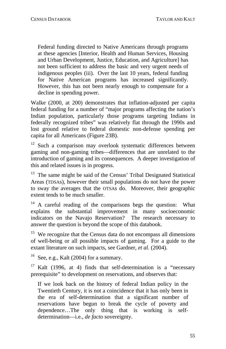not been sufficient to address the basic and very urgent needs of Federal funding directed to Native Americans through programs at these agencies [Interior, Health and Human Services, Housing and Urban Development, Justice, Education, and Agriculture] has indigenous peoples (iii). Over the last 10 years, federal funding for Native American programs has increased significantly. However, this has not been nearly enough to compensate for a decline in spending power.

Indian population, particularly those programs targeting Indians in Walke (2000, at 200) demonstrates that inflation-adjusted per capita federal funding for a number of "major programs affecting the nation's federally recognized tribes" was relatively flat through the 1990s and lost ground relative to federal domestic non-defense spending per capita for all Americans (Figure 23B).

gaming and non-gaming tribes—differences that are unrelated to the  $12$  Such a comparison may overlook systematic differences between introduction of gaming and its consequences. A deeper investigation of this and related issues is in progress.

 $13$  The same might be said of the Census' Tribal Designated Statistical Areas (TDSAs), however their small populations do not have the power to sway the averages that the OTSAs do. Moreover, their geographic extent tends to be much smaller.

<sup>14</sup> A careful reading of the comparisons begs the question: What explains the substantial improvement in many socioeconomic ind icators on the Navajo Reservation? The research necessary to an swer the question is beyond the scope of this databook.

<sup>15</sup> We recognize that the Census data do not encompass all dimensions of well-being or all possible impacts of gaming. For a guide to the extant literature on such impacts, see Gardner, *et al.* (2004).

See, e.g., Kalt (2004) for a summary.

<sup>17</sup> Kalt (1996, at 4) finds that self-determination is a "necessary prerequisite" to development on reservations, and observes that:

reservations have begun to break the cycle of poverty and If we look back on the history of federal Indian policy in the Twentieth Century, it is not a coincidence that it has only been in the era of self-determination that a significant number of dependence…The only thing that is working is selfdetermination—i.e., *de facto* sovereignty.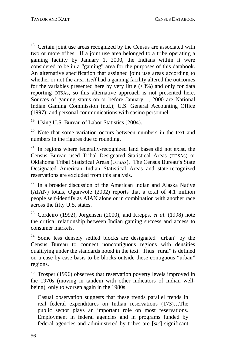$18$  Certain joint use areas recognized by the Census are associated with two or more tribes. If a joint use area belonged to a tribe operating a gaming facility by January 1, 2000, the Indians within it were considered to be in a "gaming" area for the purposes of this databook. An alternative specification that assigned joint use areas according to wh ether or not the area *itself* had a gaming facility altered the outcomes for the variables presented here by very little (<3%) and only for data reporting OTSAs, so this alternative approach is not presented here. Sources of gaming status on or before January 1, 2000 are National Indian Gaming Commission (n.d.); U.S. General Accounting Office (1997); and personal communications with casino personnel.

Using U.S. Bureau of Labor Statistics (2004).

<sup>20</sup> Note that some variation occurs between numbers in the text and numbers in the figures due to rounding.

Designated American Indian Statistical Areas and state-recognized <sup>21</sup> In regions where federally-recognized land bases did not exist, the Census Bureau used Tribal Designated Statistical Areas (TDSAs) or Oklahoma Tribal Statistical Areas (OTSAs). The Census Bureau's State reservations are excluded from this analysis.

people self-identify as AIAN alone or in combination with another race  $22$  In a broader discussion of the American Indian and Alaska Native (AIAN) totals, Ogunwole (2002) reports that a total of 4.1 million across the fifty U.S. states.

<sup>23</sup> Cordeiro (1992), Jorgensen (2000), and Krepps, *et al*. (1998) note the critical relationship between Indian gaming success and access to consumer markets.

qualifying under the standards noted in the text. Thus "rural" is defined on a case-by-case basis to be blocks outside these contiguous "urban" <sup>24</sup> Some less densely settled blocks are designated "urban" by the Census Bureau to connect noncontiguous regions with densities regions.

<sup>25</sup> Trosper (1996) observes that reservation poverty levels improved in the 1970s (moving in tandem with other indicators of Indian wellbei ng), only to worsen again in the 1980s:

Employment in federal agencies and in programs funded by federal agencies and administered by tribes are [*sic*] significant Casual observation suggests that these trends parallel trends in real federal expenditures on Indian reservations (173)…The public sector plays an important role on most reservations.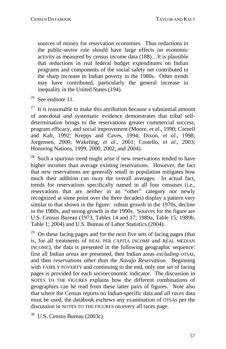sources of money for reservation economies. Thus reductions in the public-sector role should have large effects on economic activity as measured by census income data (188)…It is plausible that reductions in real federal budget expenditures on Indian programs and components of the social safety net contributed to the sharp increase in Indian poverty in the 1980s. Other trends may have contributed, particularly the general increase in inequality in the United States (194).

 $26$  See endnote 11.

of anecdotal *and* systematic evidence demonstrates that tribal selfdetermination brings to the reservations greater commercial success, Jorgensen, 2000; Wakeling, *et al.*, 2001; Costello, *et al.*, 2003;  $27$  It is reasonable to make this attribution because a substantial amount program efficacy, and social improvement (Moore, *et al*., 1990; Cornell and Kalt, 1992; Krepps and Caves, 1994; Dixon, *et al*., 1998; Honoring Nations, 1999, 2000, 2002, and 2004).

much their addition can sway the overall averages. In actual fact, similar to that shown in the figure: robust growth in the 1970s, decline  $28$  Such a spurious trend might arise if new reservations tended to have higher incomes than average existing reservations. However, the fact that new reservations are generally small in population mitigates how trends for reservations specifically named in all four censuses (i.e., reservations that are neither in an "other" category nor newly recognized at some point over the three decades) display a pattern very in the 1980s, and strong growth in the 1990s. Sources for the figure are U.S. Census Bureau (1973, Tables 14 and 17; 1989a, Table 15; 1989b, Table 1; 2004) and U.S. Bureau of Labor Statistics (2004).

with FAMILY POVERTY and continuing to the end, only one set of facing geographies can be read from these latter pairs of figures. Note also that where the Census reports no Indian-specific data and *all races* data mu st be used, the databook eschews any examination of OTSAs per the dis cussion in NOTES TO THE FIGURES on every all races page. <sup>29</sup> On these facing pages and for the next five sets of facing pages (that is, for all treatments of REAL PER CAPITA INCOME and REAL MEDIAN INCOME), the data is presented in the following geographic sequence: first all Indian *areas* are presented, then Indian areas *excluding OTSAs*, and then *reservations other than the Navajo Reservation*. Beginning pages is provided for each socioeconomic indicator. The discussion in NOTES TO THE FIGURES explains how the different combinations of

30 U.S. Census Bureau (2003c).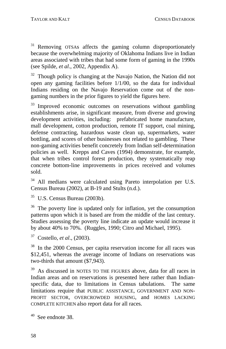<sup>31</sup> Removing OTSAs affects the gaming column disproportionately be cause the overwhelming majority of Oklahoma Indians live in Indian areas associated with tribes that had some form of gaming in the 1990s (se e Spilde, *et al*., 2002, Appendix A).

 $32$  Though policy is changing at the Navajo Nation, the Nation did not open any gaming facilities before 1/1/00, so the data for individual Indians residing on the Navajo Reservation come out of the nongaming numbers in the prior figures to yield the figures here.

policies as well. Krepps and Caves (1994) demonstrate, for example, <sup>33</sup> Improved economic outcomes on reservations without gambling establishments arise, in significant measure, from diverse and growing development activities, including: prefabricated home manufacture, mall development, cotton production, remote IT support, coal mining, defense contracting, hazardous waste clean up, supermarkets, water bottling, and scores of other businesses not related to gambling. These non-gaming activities benefit concretely from Indian self-determination that when tribes control forest production, they systematically reap concrete bottom-line improvements in prices received and volumes sold.

<sup>34</sup> All medians were calculated using Pareto interpolation per U.S. Census Bureau (2002), at B-19 and Stults (n.d.).

<sup>35</sup> U.S. Census Bureau (2003b).

by about 40% to 70%. (Ruggles, 1990; Citro and Michael, 1995). <sup>36</sup> The poverty line is updated only for inflation, yet the consumption patterns upon which it is based are from the middle of the last century. Studies assessing the poverty line indicate an update would increase it

37 Costello, *et al*., (2003).

<sup>38</sup> In the 2000 Census, per capita reservation income for all races was \$12,451, whereas the average income of Indians on reservations was two-thirds that amount (\$7,943).

<sup>39</sup> As discussed in NOTES TO THE FIGURES above, data for all races in Indian areas and on reservations is presented here rather than Indianspecific data, due to limitations in Census tabulations. The same limitations require that PUBLIC ASSISTANCE, GOVERNMENT AND NON-PROFIT SECTOR, OVERCROWDED HOUSING, and HOMES LACKING COMPLETE KITCHEN also report data for all races.

 $40$  See endnote 38.